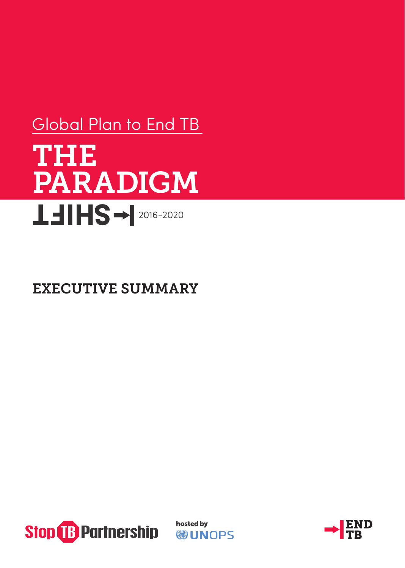# THE PARADIGM **LEIHS→ 2016-2020** Global Plan to End TB

# EXECUTIVE SUMMARY



hosted by **WINDPS** 

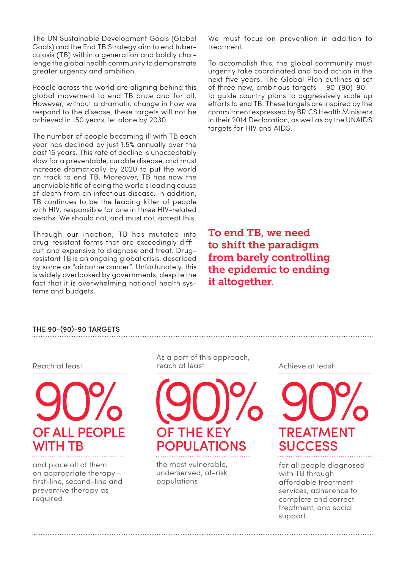The UN Sustainable Development Goals (Global Goals) and the End TB Strategy aim to end tuberculosis (TB) within a generation and boldly challenge the global health community to demonstrate greater urgency and ambition.

People across the world are aligning behind this global movement to end TB once and for all. However, without a dramatic change in how we respond to the disease, these targets will not be achieved in 150 years, let alone by 2030.

The number of people becoming ill with TB each year has declined by just 1.5% annually over the past 15 years. This rate of decline is unacceptably slow for a preventable, curable disease, and must increase dramatically by 2020 to put the world on track to end TB. Moreover, TB has now the unenviable title of being the world's leading cause of death from an infectious disease. In addition, TB continues to be the leading killer of people with HIV, responsible for one in three HIV-related deaths. We should not, and must not, accept this.

Through our inaction, TB has mutated into drug-resistant forms that are exceedingly difficult and expensive to diagnose and treat. Drugresistant TB is an ongoing global crisis, described by some as "airborne cancer". Unfortunately, this is widely overlooked by governments, despite the fact that it is overwhelming national health systems and budgets.

We must focus on prevention in addition to treatment.

To accomplish this, the global community must urgently take coordinated and bold action in the next five years. The Global Plan outlines a set of three new, ambitious targets – 90-(90)-90 – to guide country plans to aggressively scale up efforts to end TB. These targets are inspired by the commitment expressed by BRICS Health Ministers in their 2014 Declaration, as well as by the UNAIDS targets for HIV and AIDS.

To end TB, we need to shift the paradigm from barely controlling the epidemic to ending it altogether.

#### THE 90-(90)-90 TARGETS

#### Reach at least



and place all of them on appropriate therapy first-line, second-line and preventive therapy as required

As a part of this approach, reach at least



the most vulnerable, underserved, at-risk populations

Achieve at least



for all people diagnosed with TB through affordable treatment services, adherence to complete and correct treatment, and social support.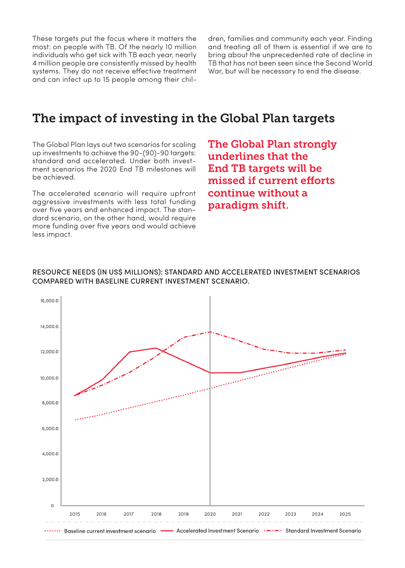These targets put the focus where it matters the most: on people with TB. Of the nearly 10 million individuals who get sick with TB each year, nearly 4 million people are consistently missed by health systems. They do not receive effective treatment and can infect up to 15 people among their children, families and community each year. Finding and treating all of them is essential if we are to bring about the unprecedented rate of decline in TB that has not been seen since the Second World War, but will be necessary to end the disease.

### The impact of investing in the Global Plan targets

The Global Plan lays out two scenarios for scaling up investments to achieve the 90-(90)-90 targets: standard and accelerated. Under both investment scenarios the 2020 End TB milestones will be achieved.

The accelerated scenario will require upfront aggressive investments with less total funding over five years and enhanced impact. The standard scenario, on the other hand, would require more funding over five years and would achieve less impact.

The Global Plan strongly underlines that the End TB targets will be missed if current efforts continue without a paradigm shift.

### RESOURCE NEEDS (IN US\$ MILLIONS): STANDARD AND ACCELERATED INVESTMENT SCENARIOS COMPARED WITH BASELINE CURRENT INVESTMENT SCENARIO.

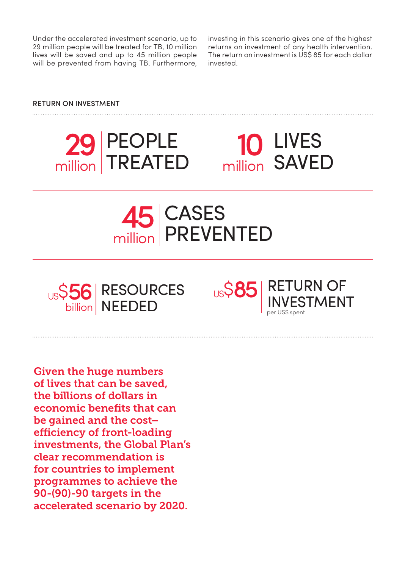Under the accelerated investment scenario, up to 29 million people will be treated for TB, 10 million lives will be saved and up to 45 million people will be prevented from having TB. Furthermore,

investing in this scenario gives one of the highest returns on investment of any health intervention. The return on investment is US\$ 85 for each dollar invested.

### RETURN ON INVESTMENT



# million LIVES SAVED







Given the huge numbers of lives that can be saved, the billions of dollars in economic benefits that can be gained and the cost– efficiency of front-loading investments, the Global Plan's clear recommendation is for countries to implement programmes to achieve the 90-(90)-90 targets in the accelerated scenario by 2020.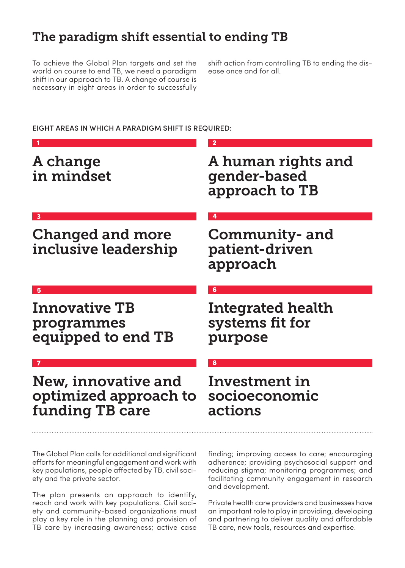# The paradigm shift essential to ending TB

To achieve the Global Plan targets and set the world on course to end TB, we need a paradigm shift in our approach to TB. A change of course is necessary in eight areas in order to successfully

shift action from controlling TB to ending the disease once and for all.

### EIGHT AREAS IN WHICH A PARADIGM SHIFT IS REQUIRED :

| A change<br>in mindset                                          | A human rights and<br>gender-based<br>approach to TB |
|-----------------------------------------------------------------|------------------------------------------------------|
| $\overline{\mathbf{3}}$                                         |                                                      |
| <b>Changed and more</b><br>inclusive leadership                 | Community- and<br>patient-driven<br>approach         |
|                                                                 |                                                      |
| <b>Innovative TB</b><br>programmes<br>equipped to end TB        | Integrated health<br>systems fit for<br>purpose      |
|                                                                 | 8                                                    |
| New, innovative and<br>optimized approach to<br>funding TB care | Investment in<br>socioeconomic<br>actions            |
|                                                                 |                                                      |

The Global Plan calls for additional and significant efforts for meaningful engagement and work with key populations, people affected by TB, civil society and the private sector.

The plan presents an approach to identify, reach and work with key populations. Civil society and community-based organizations must play a key role in the planning and provision of TB care by increasing awareness; active case

finding; improving access to care; encouraging adherence; providing psychosocial support and reducing stigma; monitoring programmes; and facilitating community engagement in research and development.

Private health care providers and businesses have an important role to play in providing, developing and partnering to deliver quality and affordable TB care, new tools, resources and expertise.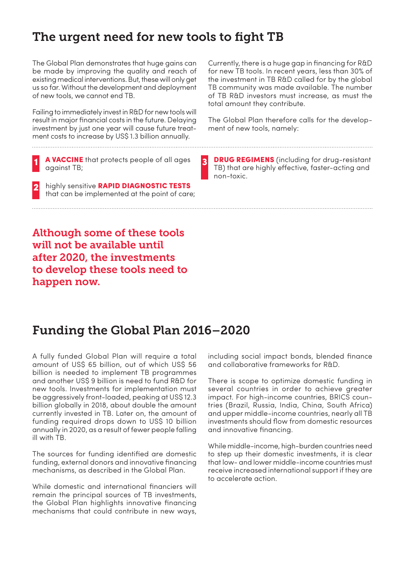## The urgent need for new tools to fight TB

3

The Global Plan demonstrates that huge gains can be made by improving the quality and reach of existing medical interventions. But, these will only get us so far. Without the development and deployment of new tools, we cannot end TB.

Failing to immediately invest in R&D for new tools will result in major financial costs in the future. Delaying investment by just one year will cause future treatment costs to increase by US\$ 1.3 billion annually.

A VACCINE that protects people of all ages against TB;

highly sensitive RAPID DIAGNOSTIC TESTS that can be implemented at the point of care; 2

Currently, there is a huge gap in financing for R&D for new TB tools. In recent years, less than 30% of the investment in TB R&D called for by the global TB community was made available. The number of TB R&D investors must increase, as must the total amount they contribute.

The Global Plan therefore calls for the development of new tools, namely:

**DRUG REGIMENS** (including for drug-resistant TB) that are highly effective, faster-acting and non-toxic.

Although some of these tools will not be available until after 2020, the investments to develop these tools need to happen now.

### Funding the Global Plan 2016–2020

A fully funded Global Plan will require a total amount of US\$ 65 billion, out of which US\$ 56 billion is needed to implement TB programmes and another US\$ 9 billion is need to fund R&D for new tools. Investments for implementation must be aggressively front-loaded, peaking at US\$ 12.3 billion globally in 2018, about double the amount currently invested in TB. Later on, the amount of funding required drops down to US\$ 10 billion annually in 2020, as a result of fewer people falling ill with TB.

The sources for funding identified are domestic funding, external donors and innovative financing mechanisms, as described in the Global Plan.

While domestic and international financiers will remain the principal sources of TB investments, the Global Plan highlights innovative financing mechanisms that could contribute in new ways,

including social impact bonds, blended finance and collaborative frameworks for R&D.

There is scope to optimize domestic funding in several countries in order to achieve greater impact. For high-income countries, BRICS countries (Brazil, Russia, India, China, South Africa) and upper middle-income countries, nearly all TB investments should flow from domestic resources and innovative financing.

While middle-income, high-burden countries need to step up their domestic investments, it is clear that low- and lower middle-income countries must receive increased international support if they are to accelerate action.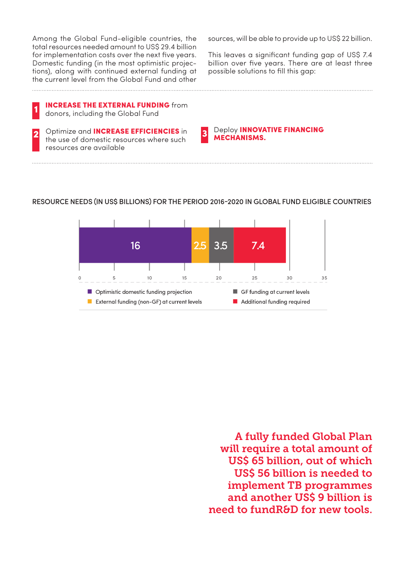Among the Global Fund-eligible countries, the total resources needed amount to US\$ 29.4 billion for implementation costs over the next five years. Domestic funding (in the most optimistic projections), along with continued external funding at the current level from the Global Fund and other

sources, will be able to provide up to US\$ 22 billion.

This leaves a significant funding gap of US\$ 7.4 billion over five years. There are at least three possible solutions to fill this gap:

INCREASE THE EXTERNAL FUNDING from donors, including the Global Fund 1

Optimize and INCREASE EFFICIENCIES in **3** Deploy INNOVA<br>the use of domestic resources where such **3 MECHANISMS.** resources are available 2

Deploy **INNOVATIVE FINANCING**<br>MECHANISMS.

### RESOURCE NEEDS (IN US\$ BILLIONS) FOR THE PERIOD 2016-2020 IN GLOBAL FUND ELIGIBLE COUNTRIES



A fully funded Global Plan will require a total amount of US\$ 65 billion, out of which US\$ 56 billion is needed to implement TB programmes and another US\$ 9 billion is need to fundR&D for new tools.